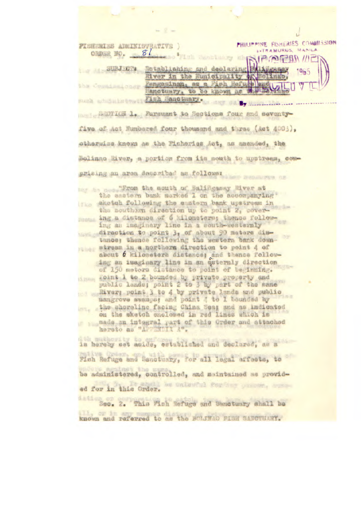| $= 2 -$                                                                                                                                                                                                  |  |
|----------------------------------------------------------------------------------------------------------------------------------------------------------------------------------------------------------|--|
| PHILIPPINE FISHERIES COMMISSION<br>FIBRERIAS ADMINISTRATIVE )<br><b>EXTRAMURUS, MANILA</b>                                                                                                               |  |
| CADAR NO. 81 81 MARION 11C<br>Totablishing and declaring Politicanay<br><b>SUBJECT</b><br>1965<br>River in the Numicipality of Bolingo,                                                                  |  |
| Pengasinan, as a Pish Hefute and (oll)<br>the Commission Longe<br>Lanctuary, to be known at Midles<br>post ad Sulmary Figh Sanctuary. on By Considering                                                  |  |
| SECTION 1. Pursuant to Sections four and seventy-                                                                                                                                                        |  |
| five of Act Eumbered four thousand and three (Act 4003),                                                                                                                                                 |  |
| otherwise known as the Pisheries Act, as amended, the                                                                                                                                                    |  |
| Bolinao River, a portion from its mouth to upstream, com-                                                                                                                                                |  |
| prising an area described as follows: produces as                                                                                                                                                        |  |
| mer to not Trom the mouth of Balingsony River at<br>the sastern bank marked I on the accompanying.<br>skotch following the eastern bank upstream in                                                      |  |
| the southern direction up to point 2, cover-<br>ing a distance of 6 kilometers; thence follow-<br><b>Jidense</b><br>ing an imaginary line in a south-westernly                                           |  |
| direction to point 3, of about 90 meters dim-<br>tance; thence following the western bank down-                                                                                                          |  |
| stage stream in a northern direction to point 4 of<br>about 6 kilometers distance; and thence follow-<br>ing an imaginary line in an esternly direction<br>of 150 meters distance to point of beginning. |  |
| sines 401nt 1 to 2 bounded by private property and<br>public lande; point 2 to 3 by part of the same                                                                                                     |  |
| River; point 3 to 4 by private lands and public<br>mangrove swamps; and point ; to I bounded by                                                                                                          |  |
| the shoreline facing China Sea; and as indicated<br>on the sketch enclosed in red lines which is<br>made an integral part of this Order and attached                                                     |  |
| hereto as "APPRILIA A".                                                                                                                                                                                  |  |
| is hereby set aside, ostablished and declared, as a                                                                                                                                                      |  |
| Fish Refuge and Sanctuary, for all legal affects, to                                                                                                                                                     |  |
| be administered, controlled, and maintained as provid-                                                                                                                                                   |  |
| ed for in this Order. We unlevent for the process answer                                                                                                                                                 |  |
| Sec. 2. This Mah Refuge and Sanctuary shall be                                                                                                                                                           |  |
| known and referred to as the BOLINAO PISH SANCTUARY.                                                                                                                                                     |  |

k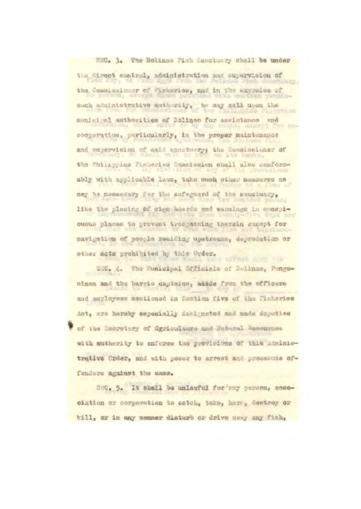## SEC. 3. The Bolinao Fish Manctuary shall be under

the direct control, administration and supervision of the Commissioner of Micheries, and in the expraise of such administrative authority, he may call upon the **GRAPE AC** municipal authorities of Bolinao for assistance and *Front* cooperation, particularly, in the proper maintenance and supervision of said sanctuary; the Commissioner of the Philippine Pisheries Commission shall also conformably with applicable laws, take such other measures as may be necessary for the safeguard of the sanctuary, like the placing of sign boards and warnings in conspicuous places to prevent trespassing therein except for navigation of people residing upstreams, depredation or other acts probibited by this Order. **BY FREE** ALCCC FAN

SEC. 4. The Municipal Officials of Solinso, Pangasinan and the barrio captains, attde from the officers and employees mentioned in Bection five of the Fisheries Act, are hereby especially designated and made deputies of the Sacretary of Grriculture and Hatural Resources with authority to enforce the provisions of this Administrative Order, and with power to arrest and prosecute offenders against the same.

SWG. 5. It shall be unlawful for any person, asseciation or corporation to catch, take, harv, destroy or kill, or in any manner disturb or drive away any fish,